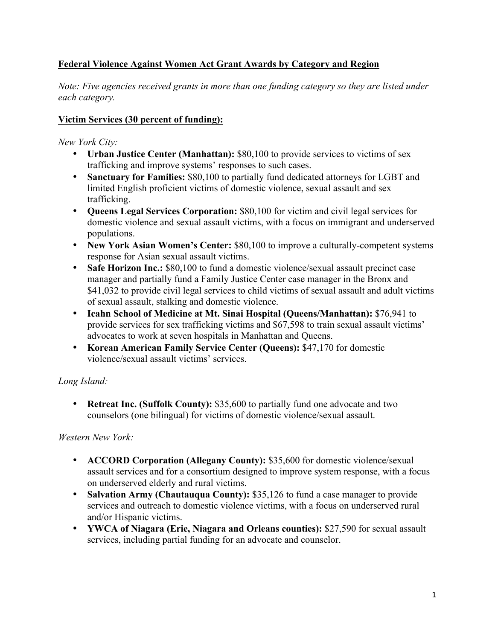# **Federal Violence Against Women Act Grant Awards by Category and Region**

*Note: Five agencies received grants in more than one funding category so they are listed under each category.*

## **Victim Services (30 percent of funding):**

*New York City:*

- **Urban Justice Center (Manhattan):** \$80,100 to provide services to victims of sex trafficking and improve systems' responses to such cases.
- **Sanctuary for Families:** \$80,100 to partially fund dedicated attorneys for LGBT and limited English proficient victims of domestic violence, sexual assault and sex trafficking.
- **Queens Legal Services Corporation:** \$80,100 for victim and civil legal services for domestic violence and sexual assault victims, with a focus on immigrant and underserved populations.
- **New York Asian Women's Center:** \$80,100 to improve a culturally-competent systems response for Asian sexual assault victims.
- **Safe Horizon Inc.:** \$80,100 to fund a domestic violence/sexual assault precinct case manager and partially fund a Family Justice Center case manager in the Bronx and \$41,032 to provide civil legal services to child victims of sexual assault and adult victims of sexual assault, stalking and domestic violence.
- **Icahn School of Medicine at Mt. Sinai Hospital (Queens/Manhattan):** \$76,941 to provide services for sex trafficking victims and \$67,598 to train sexual assault victims' advocates to work at seven hospitals in Manhattan and Queens.
- **Korean American Family Service Center (Queens):** \$47,170 for domestic violence/sexual assault victims' services.

## *Long Island:*

• **Retreat Inc. (Suffolk County):** \$35,600 to partially fund one advocate and two counselors (one bilingual) for victims of domestic violence/sexual assault.

*Western New York:*

- **ACCORD Corporation (Allegany County):** \$35,600 for domestic violence/sexual assault services and for a consortium designed to improve system response, with a focus on underserved elderly and rural victims.
- **Salvation Army (Chautauqua County):** \$35,126 to fund a case manager to provide services and outreach to domestic violence victims, with a focus on underserved rural and/or Hispanic victims.
- **YWCA of Niagara (Erie, Niagara and Orleans counties):** \$27,590 for sexual assault services, including partial funding for an advocate and counselor.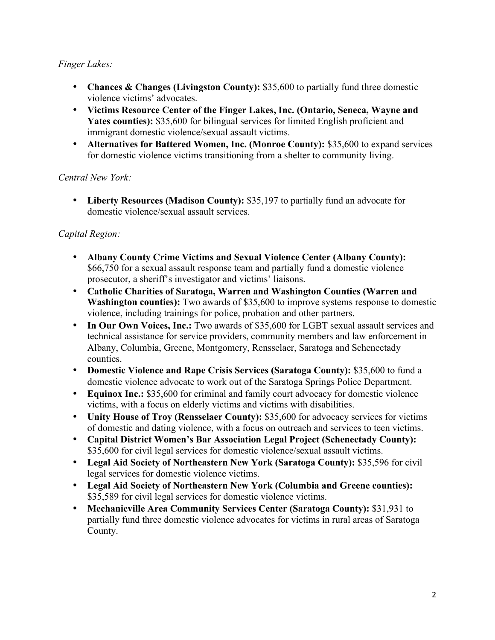## *Finger Lakes:*

- **Chances & Changes (Livingston County):** \$35,600 to partially fund three domestic violence victims' advocates.
- **Victims Resource Center of the Finger Lakes, Inc. (Ontario, Seneca, Wayne and**  Yates counties): \$35,600 for bilingual services for limited English proficient and immigrant domestic violence/sexual assault victims.
- **Alternatives for Battered Women, Inc. (Monroe County):** \$35,600 to expand services for domestic violence victims transitioning from a shelter to community living.

*Central New York:*

• **Liberty Resources (Madison County):** \$35,197 to partially fund an advocate for domestic violence/sexual assault services.

## *Capital Region:*

- **Albany County Crime Victims and Sexual Violence Center (Albany County):** \$66,750 for a sexual assault response team and partially fund a domestic violence prosecutor, a sheriff's investigator and victims' liaisons.
- **Catholic Charities of Saratoga, Warren and Washington Counties (Warren and Washington counties):** Two awards of \$35,600 to improve systems response to domestic violence, including trainings for police, probation and other partners.
- In Our Own Voices, Inc.: Two awards of \$35,600 for LGBT sexual assault services and technical assistance for service providers, community members and law enforcement in Albany, Columbia, Greene, Montgomery, Rensselaer, Saratoga and Schenectady counties.
- **Domestic Violence and Rape Crisis Services (Saratoga County):** \$35,600 to fund a domestic violence advocate to work out of the Saratoga Springs Police Department.
- **Equinox Inc.:** \$35,600 for criminal and family court advocacy for domestic violence victims, with a focus on elderly victims and victims with disabilities.
- **Unity House of Troy (Rensselaer County):** \$35,600 for advocacy services for victims of domestic and dating violence, with a focus on outreach and services to teen victims.
- **Capital District Women's Bar Association Legal Project (Schenectady County):** \$35,600 for civil legal services for domestic violence/sexual assault victims.
- **Legal Aid Society of Northeastern New York (Saratoga County):** \$35,596 for civil legal services for domestic violence victims.
- **Legal Aid Society of Northeastern New York (Columbia and Greene counties):** \$35,589 for civil legal services for domestic violence victims.
- **Mechanicville Area Community Services Center (Saratoga County):** \$31,931 to partially fund three domestic violence advocates for victims in rural areas of Saratoga County.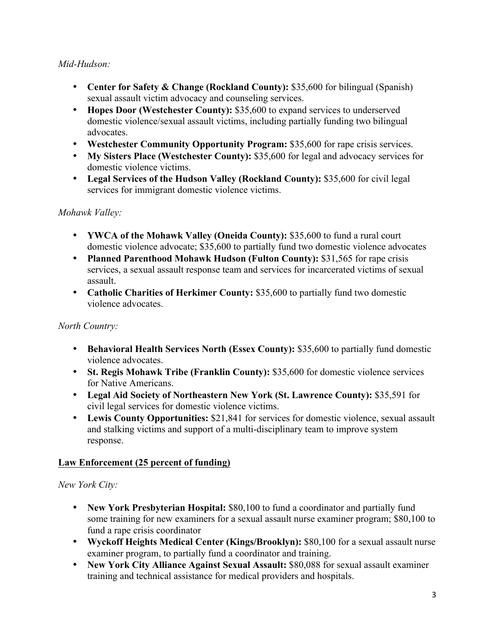## *Mid-Hudson:*

- **Center for Safety & Change (Rockland County):** \$35,600 for bilingual (Spanish) sexual assault victim advocacy and counseling services.
- **Hopes Door (Westchester County):** \$35,600 to expand services to underserved domestic violence/sexual assault victims, including partially funding two bilingual advocates.
- **Westchester Community Opportunity Program:** \$35,600 for rape crisis services.
- **My Sisters Place (Westchester County):** \$35,600 for legal and advocacy services for domestic violence victims.
- **Legal Services of the Hudson Valley (Rockland County):** \$35,600 for civil legal services for immigrant domestic violence victims.

## *Mohawk Valley:*

- **YWCA of the Mohawk Valley (Oneida County):** \$35,600 to fund a rural court domestic violence advocate; \$35,600 to partially fund two domestic violence advocates
- **Planned Parenthood Mohawk Hudson (Fulton County): \$31,565 for rape crisis** services, a sexual assault response team and services for incarcerated victims of sexual assault.
- **Catholic Charities of Herkimer County:** \$35,600 to partially fund two domestic violence advocates.

## *North Country:*

- **Behavioral Health Services North (Essex County): \$35,600 to partially fund domestic** violence advocates.
- **St. Regis Mohawk Tribe (Franklin County):** \$35,600 for domestic violence services for Native Americans.
- **Legal Aid Society of Northeastern New York (St. Lawrence County):** \$35,591 for civil legal services for domestic violence victims.
- **Lewis County Opportunities:** \$21,841 for services for domestic violence, sexual assault and stalking victims and support of a multi-disciplinary team to improve system response.

## **Law Enforcement (25 percent of funding)**

## *New York City:*

- **New York Presbyterian Hospital:** \$80,100 to fund a coordinator and partially fund some training for new examiners for a sexual assault nurse examiner program; \$80,100 to fund a rape crisis coordinator
- **Wyckoff Heights Medical Center (Kings/Brooklyn):** \$80,100 for a sexual assault nurse examiner program, to partially fund a coordinator and training.
- **New York City Alliance Against Sexual Assault:** \$80,088 for sexual assault examiner training and technical assistance for medical providers and hospitals.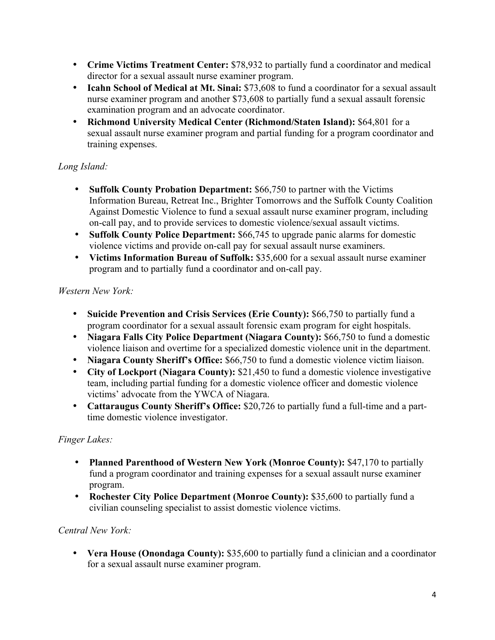- **Crime Victims Treatment Center:** \$78,932 to partially fund a coordinator and medical director for a sexual assault nurse examiner program.
- **Icahn School of Medical at Mt. Sinai:** \$73,608 to fund a coordinator for a sexual assault nurse examiner program and another \$73,608 to partially fund a sexual assault forensic examination program and an advocate coordinator.
- **Richmond University Medical Center (Richmond/Staten Island):** \$64,801 for a sexual assault nurse examiner program and partial funding for a program coordinator and training expenses.

# *Long Island:*

- **Suffolk County Probation Department:** \$66,750 to partner with the Victims Information Bureau, Retreat Inc., Brighter Tomorrows and the Suffolk County Coalition Against Domestic Violence to fund a sexual assault nurse examiner program, including on-call pay, and to provide services to domestic violence/sexual assault victims.
- **Suffolk County Police Department:** \$66,745 to upgrade panic alarms for domestic violence victims and provide on-call pay for sexual assault nurse examiners.
- **Victims Information Bureau of Suffolk:** \$35,600 for a sexual assault nurse examiner program and to partially fund a coordinator and on-call pay.

# *Western New York:*

- **Suicide Prevention and Crisis Services (Erie County):** \$66,750 to partially fund a program coordinator for a sexual assault forensic exam program for eight hospitals.
- **Niagara Falls City Police Department (Niagara County):** \$66,750 to fund a domestic violence liaison and overtime for a specialized domestic violence unit in the department.
- **Niagara County Sheriff's Office:** \$66,750 to fund a domestic violence victim liaison.
- **City of Lockport (Niagara County):** \$21,450 to fund a domestic violence investigative team, including partial funding for a domestic violence officer and domestic violence victims' advocate from the YWCA of Niagara.
- **Cattaraugus County Sheriff's Office:** \$20,726 to partially fund a full-time and a parttime domestic violence investigator.

# *Finger Lakes:*

- **Planned Parenthood of Western New York (Monroe County):** \$47,170 to partially fund a program coordinator and training expenses for a sexual assault nurse examiner program.
- **Rochester City Police Department (Monroe County):** \$35,600 to partially fund a civilian counseling specialist to assist domestic violence victims.

# *Central New York:*

• **Vera House (Onondaga County):** \$35,600 to partially fund a clinician and a coordinator for a sexual assault nurse examiner program.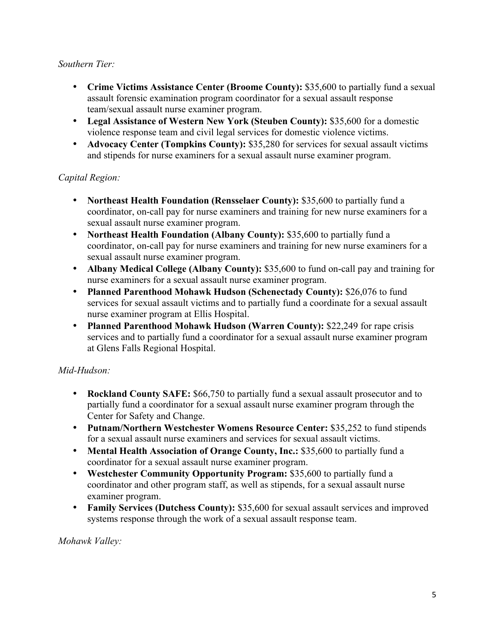### *Southern Tier:*

- **Crime Victims Assistance Center (Broome County):** \$35,600 to partially fund a sexual assault forensic examination program coordinator for a sexual assault response team/sexual assault nurse examiner program.
- **Legal Assistance of Western New York (Steuben County):** \$35,600 for a domestic violence response team and civil legal services for domestic violence victims.
- **Advocacy Center (Tompkins County):** \$35,280 for services for sexual assault victims and stipends for nurse examiners for a sexual assault nurse examiner program.

## *Capital Region:*

- **Northeast Health Foundation (Rensselaer County):** \$35,600 to partially fund a coordinator, on-call pay for nurse examiners and training for new nurse examiners for a sexual assault nurse examiner program.
- **Northeast Health Foundation (Albany County):** \$35,600 to partially fund a coordinator, on-call pay for nurse examiners and training for new nurse examiners for a sexual assault nurse examiner program.
- **Albany Medical College (Albany County):** \$35,600 to fund on-call pay and training for nurse examiners for a sexual assault nurse examiner program.
- **Planned Parenthood Mohawk Hudson (Schenectady County):** \$26,076 to fund services for sexual assault victims and to partially fund a coordinate for a sexual assault nurse examiner program at Ellis Hospital.
- **Planned Parenthood Mohawk Hudson (Warren County):** \$22,249 for rape crisis services and to partially fund a coordinator for a sexual assault nurse examiner program at Glens Falls Regional Hospital.

# *Mid-Hudson:*

- **Rockland County SAFE:** \$66,750 to partially fund a sexual assault prosecutor and to partially fund a coordinator for a sexual assault nurse examiner program through the Center for Safety and Change.
- **Putnam/Northern Westchester Womens Resource Center:** \$35,252 to fund stipends for a sexual assault nurse examiners and services for sexual assault victims.
- **Mental Health Association of Orange County, Inc.:** \$35,600 to partially fund a coordinator for a sexual assault nurse examiner program.
- **Westchester Community Opportunity Program:** \$35,600 to partially fund a coordinator and other program staff, as well as stipends, for a sexual assault nurse examiner program.
- **Family Services (Dutchess County): \$35,600** for sexual assault services and improved systems response through the work of a sexual assault response team.

## *Mohawk Valley:*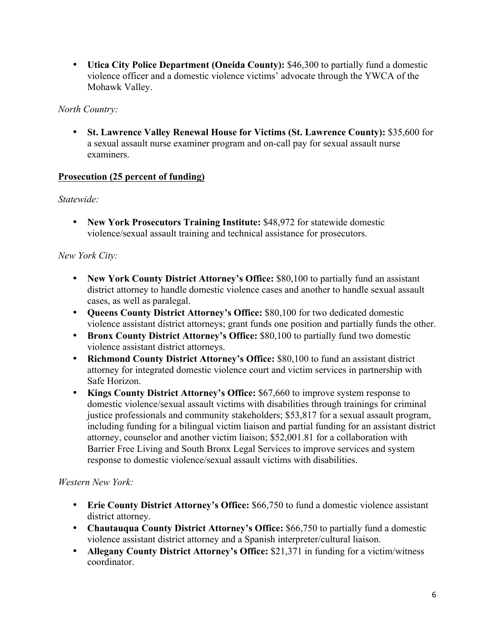• **Utica City Police Department (Oneida County):** \$46,300 to partially fund a domestic violence officer and a domestic violence victims' advocate through the YWCA of the Mohawk Valley.

### *North Country:*

• **St. Lawrence Valley Renewal House for Victims (St. Lawrence County):** \$35,600 for a sexual assault nurse examiner program and on-call pay for sexual assault nurse examiners.

#### **Prosecution (25 percent of funding)**

## *Statewide:*

• **New York Prosecutors Training Institute:** \$48,972 for statewide domestic violence/sexual assault training and technical assistance for prosecutors.

## *New York City:*

- **New York County District Attorney's Office:** \$80,100 to partially fund an assistant district attorney to handle domestic violence cases and another to handle sexual assault cases, as well as paralegal.
- **Queens County District Attorney's Office:** \$80,100 for two dedicated domestic violence assistant district attorneys; grant funds one position and partially funds the other.
- **Bronx County District Attorney's Office:** \$80,100 to partially fund two domestic violence assistant district attorneys.
- **Richmond County District Attorney's Office:** \$80,100 to fund an assistant district attorney for integrated domestic violence court and victim services in partnership with Safe Horizon.
- **Kings County District Attorney's Office:** \$67,660 to improve system response to domestic violence/sexual assault victims with disabilities through trainings for criminal justice professionals and community stakeholders; \$53,817 for a sexual assault program, including funding for a bilingual victim liaison and partial funding for an assistant district attorney, counselor and another victim liaison; \$52,001.81 for a collaboration with Barrier Free Living and South Bronx Legal Services to improve services and system response to domestic violence/sexual assault victims with disabilities.

#### *Western New York:*

- **Erie County District Attorney's Office:** \$66,750 to fund a domestic violence assistant district attorney.
- **Chautauqua County District Attorney's Office:** \$66,750 to partially fund a domestic violence assistant district attorney and a Spanish interpreter/cultural liaison.
- **Allegany County District Attorney's Office:** \$21,371 in funding for a victim/witness coordinator.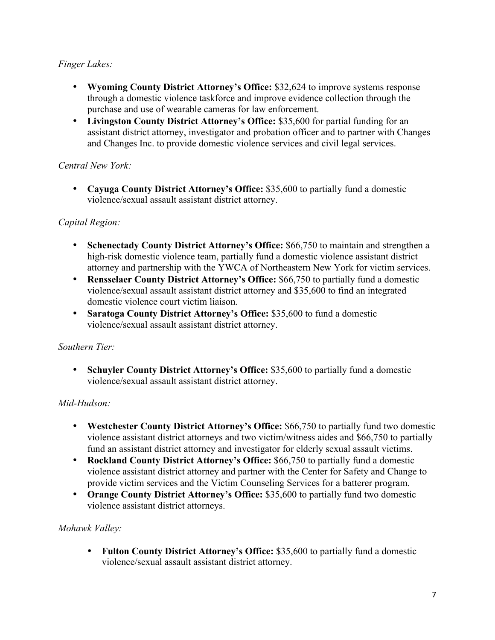## *Finger Lakes:*

- **Wyoming County District Attorney's Office:** \$32,624 to improve systems response through a domestic violence taskforce and improve evidence collection through the purchase and use of wearable cameras for law enforcement.
- **Livingston County District Attorney's Office:** \$35,600 for partial funding for an assistant district attorney, investigator and probation officer and to partner with Changes and Changes Inc. to provide domestic violence services and civil legal services.

### *Central New York:*

• **Cayuga County District Attorney's Office:** \$35,600 to partially fund a domestic violence/sexual assault assistant district attorney.

## *Capital Region:*

- **Schenectady County District Attorney's Office:** \$66,750 to maintain and strengthen a high-risk domestic violence team, partially fund a domestic violence assistant district attorney and partnership with the YWCA of Northeastern New York for victim services.
- **Rensselaer County District Attorney's Office:** \$66,750 to partially fund a domestic violence/sexual assault assistant district attorney and \$35,600 to find an integrated domestic violence court victim liaison.
- **Saratoga County District Attorney's Office:** \$35,600 to fund a domestic violence/sexual assault assistant district attorney.

#### *Southern Tier:*

• **Schuyler County District Attorney's Office:** \$35,600 to partially fund a domestic violence/sexual assault assistant district attorney.

#### *Mid-Hudson:*

- **Westchester County District Attorney's Office:** \$66,750 to partially fund two domestic violence assistant district attorneys and two victim/witness aides and \$66,750 to partially fund an assistant district attorney and investigator for elderly sexual assault victims.
- **Rockland County District Attorney's Office:** \$66,750 to partially fund a domestic violence assistant district attorney and partner with the Center for Safety and Change to provide victim services and the Victim Counseling Services for a batterer program.
- **Orange County District Attorney's Office:** \$35,600 to partially fund two domestic violence assistant district attorneys.

## *Mohawk Valley:*

• **Fulton County District Attorney's Office:** \$35,600 to partially fund a domestic violence/sexual assault assistant district attorney.